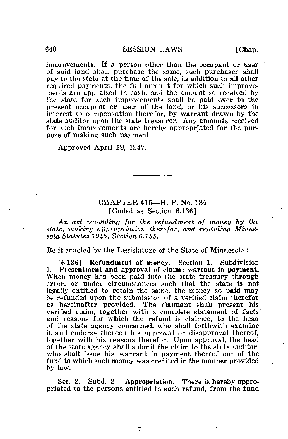improvements. If a person other than the occupant or user of said land shall purchase the same, such purchaser shall pay to the state at the time of the sale, in addition to all other required payments, the full amount for which such improvements are appraised in cash, and the amount so received by the state for such improvements shall be paid over to the present occupant or user of the land, or his successors in interest as compensation therefor, by warrant drawn by the state auditor upon the state treasurer. Any amounts received for such improvements are hereby appropriated for the purpose of making such payment.

Approved April 19, 1947.

## CHAPTER 416—H, F. No. 184 [Coded as Section 6.136]

An act providing for the refundment of money by the state, making appropriation therefor, and repealing Minnesota Statutes 19&5, Section 6.135.

Be it enacted by the Legislature of the State of Minnesota:

[6.136] Refundment of money. Section 1. Subdivision 1. Presentment and approval of claim; warrant in payment. When money has been paid into the state treasury through error, or under circumstances such that the state is not legally entitled to retain the same, the money so paid may be refunded upon the submission of a verified claim therefor as hereinafter provided. The claimant shall present his verified claim, together with a complete statement of facts and reasons for which the refund is claimed, to the head of the state agency concerned, who shall forthwith examine it and endorse thereon his approval or disapproval thereof, together with his reasons therefor. Upon approval, the head of the state agency shall submit the claim to the state auditor, who shall issue his warrant in payment thereof out of the fund to which such money was credited in the manner provided by law.

Sec. 2. Subd. 2. Appropriation. There is hereby appropriated to the persons entitled to such refund, from the fund